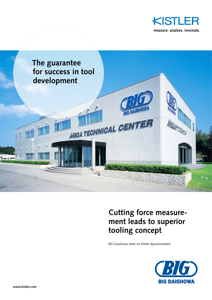



## **Cutting force measurement leads to superior tooling concept**

BIG Daishowa relies on Kistler dynamometers

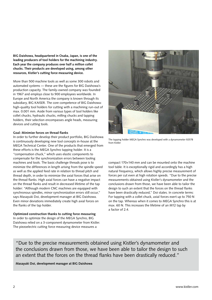**BIG Daishowa, headquartered in Osaka, Japan, is one of the leading producers of tool holders for the machining industry. Each year the company produces over half a million collet chucks. Their products are developed using, among other resources, Kistler's cutting force measuring device.**

More than 500 machine tools as well as some 300 robots and automated systems — these are the figures for BIG Daishowa's production capacity. The family-owned company was founded in 1967 and employs close to 900 employees worldwide. In Europe and North America the company is known through its subsidiary, BIG KAISER. The core competence of BIG Daishowa: high-quality tool holders for cutting with a machining run-out of max. 0.001 mm. Aside from various types of tool holders like collet chucks, hydraulic chucks, milling chucks and tapping holders, their selection encompasses angle heads, measuring devices and cutting tools.

## **Goal: Minimize forces on thread flanks**

In order to further develop their product portfolio, BIG Daishowa is continuously developing new tool concepts in-house at the MEGA Technical Center. One of the products that emerged from these efforts is the MEGA Synchro tapping holder. It is a "compensation chuck," which uses elastic components to compensate for the synchronization errors between tooling machines and tools. The basic challenge threads pose is to minimize the differences in length arising from the spindle speed as well as the applied feed rate in relation to thread pitch and thread depth, in order to minimize the axial forces that arise on the thread flanks. High axial forces can have a negative impact on the thread flanks and result in decreased lifetime of the tap holder: "Although modern CNC machines are equipped with synchronous spindles, minor synchronization errors still occur," says Masayuki Doi, development manager at BIG Daishowa. Even minor deviations immediately create high axial forces on the flanks of the tap holder.

## **Optimized construction thanks to cutting force measuring**

In order to optimize the design of the MEGA Synchro, BIG Daishowa relied on a 3-component dynamometer from Kistler. The piezoelectric cutting force measuring device measures a



The tapping holder MEGA Synchro was developed with a dynamometer 9257B from Kistler

compact 170×140 mm and can be mounted onto the machine tool table. It is exceptionally rigid and accordingly has a high natural frequency, which allows highly precise measurement of forces per cut even at high rotation speeds. "Due to the precise measurements obtained using Kistler's dynamometer and the conclusions drawn from those, we have been able to tailor the design to such an extent that the forces on the thread flanks have been drastically reduced," Doi states. In concrete terms: For tapping with a collet chuck, axial forces exert up to 750 N on the tap. Whereas when it comes to MEGA Synchro this is at max. 60 N. This increases the lifetime of an M12 tap by a factor of 2.4.

"Due to the precise measurements obtained using Kistler's dynamometer and the conclusions drawn from those, we have been able to tailor the design to such an extent that the forces on the thread flanks have been drastically reduced."

**Masayuki Doi, development manager at BIG Daishowa**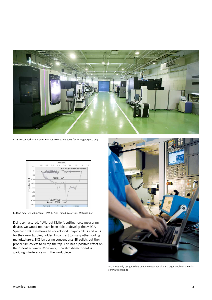

In its MEGA Technical Center BIG has 10 machine tools for testing purpose only



Cutting data: Vc: 20 m/min.; RPM 1,050; Thread: M6×12m, Material: C55

Doi is self-assured: "Without Kistler's cutting force measuring device, we would not have been able to develop the MEGA Synchro." BIG Daishowa has developed unique collets and nuts for their new tapping holder. In contrast to many other tooling manufacturers, BIG isn't using conventional ER collets but their proper slim collets to clamp the tap. This has a positive effect on the runout accuracy. Moreover, their slim diameter nut is avoiding interference with the work piece.



BIG is not only using Kistler's dynamometer but also a charge amplifier as well as software solutions